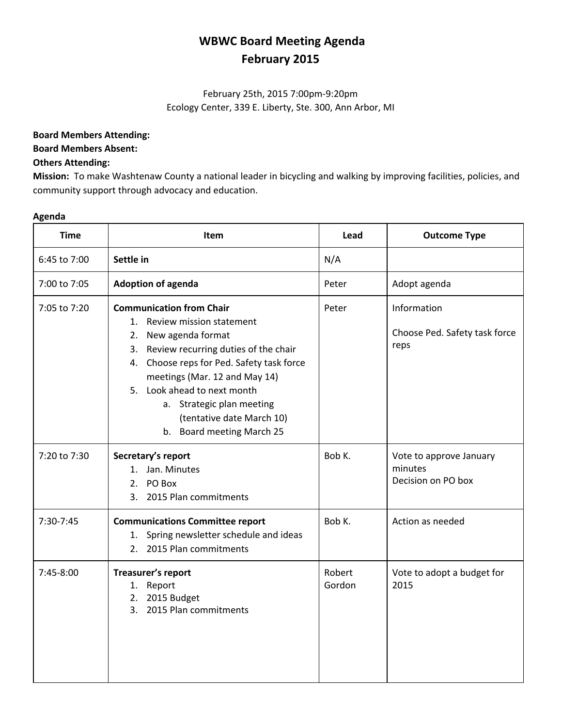# **WBWC Board Meeting Agenda February 2015**

# February 25th, 2015 7:00pm-9:20pm Ecology Center, 339 E. Liberty, Ste. 300, Ann Arbor, MI

## **Board Members Attending:**

#### **Board Members Absent:**

### **Others Attending:**

**Mission:** To make Washtenaw County a national leader in bicycling and walking by improving facilities, policies, and community support through advocacy and education.

#### **Agenda**

| <b>Time</b>  | <b>Item</b>                                                                                                                                                                                                                                                                                                                                           | Lead             | <b>Outcome Type</b>                                      |
|--------------|-------------------------------------------------------------------------------------------------------------------------------------------------------------------------------------------------------------------------------------------------------------------------------------------------------------------------------------------------------|------------------|----------------------------------------------------------|
| 6:45 to 7:00 | Settle in                                                                                                                                                                                                                                                                                                                                             | N/A              |                                                          |
| 7:00 to 7:05 | <b>Adoption of agenda</b>                                                                                                                                                                                                                                                                                                                             | Peter            | Adopt agenda                                             |
| 7:05 to 7:20 | <b>Communication from Chair</b><br>1. Review mission statement<br>New agenda format<br>2.<br>Review recurring duties of the chair<br>3.<br>4. Choose reps for Ped. Safety task force<br>meetings (Mar. 12 and May 14)<br>5. Look ahead to next month<br>a. Strategic plan meeting<br>(tentative date March 10)<br><b>Board meeting March 25</b><br>b. | Peter            | Information<br>Choose Ped. Safety task force<br>reps     |
| 7:20 to 7:30 | Secretary's report<br>1. Jan. Minutes<br>2. PO Box<br>3. 2015 Plan commitments                                                                                                                                                                                                                                                                        | Bob K.           | Vote to approve January<br>minutes<br>Decision on PO box |
| 7:30-7:45    | <b>Communications Committee report</b><br>1. Spring newsletter schedule and ideas<br>2. 2015 Plan commitments                                                                                                                                                                                                                                         | Bob K.           | Action as needed                                         |
| 7:45-8:00    | Treasurer's report<br>1. Report<br>2. 2015 Budget<br>3. 2015 Plan commitments                                                                                                                                                                                                                                                                         | Robert<br>Gordon | Vote to adopt a budget for<br>2015                       |